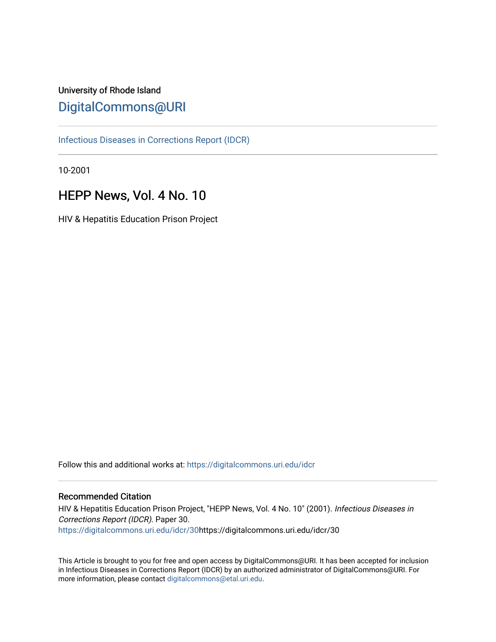# University of Rhode Island [DigitalCommons@URI](https://digitalcommons.uri.edu/)

[Infectious Diseases in Corrections Report \(IDCR\)](https://digitalcommons.uri.edu/idcr)

10-2001

# HEPP News, Vol. 4 No. 10

HIV & Hepatitis Education Prison Project

Follow this and additional works at: [https://digitalcommons.uri.edu/idcr](https://digitalcommons.uri.edu/idcr?utm_source=digitalcommons.uri.edu%2Fidcr%2F30&utm_medium=PDF&utm_campaign=PDFCoverPages)

# Recommended Citation

HIV & Hepatitis Education Prison Project, "HEPP News, Vol. 4 No. 10" (2001). Infectious Diseases in Corrections Report (IDCR). Paper 30. [https://digitalcommons.uri.edu/idcr/30h](https://digitalcommons.uri.edu/idcr/30?utm_source=digitalcommons.uri.edu%2Fidcr%2F30&utm_medium=PDF&utm_campaign=PDFCoverPages)ttps://digitalcommons.uri.edu/idcr/30

This Article is brought to you for free and open access by DigitalCommons@URI. It has been accepted for inclusion in Infectious Diseases in Corrections Report (IDCR) by an authorized administrator of DigitalCommons@URI. For more information, please contact [digitalcommons@etal.uri.edu.](mailto:digitalcommons@etal.uri.edu)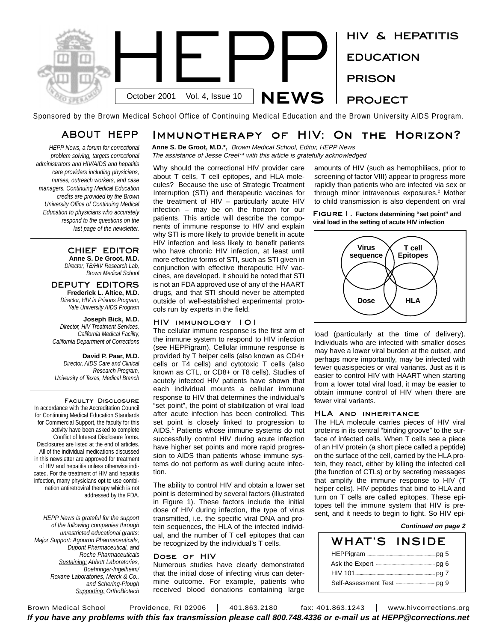

Sponsored by the Brown Medical School Office of Continuing Medical Education and the Brown University AIDS Program.

# ABOUT HEPP

*HEPP News, a forum for correctional problem solving, targets correctional administrators and HIV/AIDS and hepatitis care providers including physicians, nurses, outreach workers, and case managers. Continuing Medical Education credits are provided by the Brown University Office of Continuing Medical Education to physicians who accurately respond to the questions on the last page of the newsletter.* 

> CHIEF EDITOR **Anne S. De Groot, M.D.**

*Director, TB/HIV Research Lab, Brown Medical School*

DEPUTY EDITORS **Frederick L. Altice, M.D.** *Director, HIV in Prisons Program, Yale University AIDS Program*

**Joseph Bick, M.D.** *Director, HIV Treatment Services, California Medical Facility, California Department of Corrections*

**David P. Paar, M.D.** *Director, AIDS Care and Clinical Research Program, University of Texas, Medical Branch*

Faculty Disclosure In accordance with the Accreditation Council for Continuing Medical Education Standards for Commercial Support, the faculty for this activity have been asked to complete Conflict of Interest Disclosure forms. Disclosures are listed at the end of articles. All of the individual medications discussed in this newsletter are approved for treatment of HIV and hepatitis unless otherwise indicated. For the treatment of HIV and hepatitis infection, many physicians opt to use combination antiretroviral therapy which is not addressed by the FDA.

*HEPP News is grateful for the support of the following companies through unrestricted educational grants: Major Support: Agouron Pharmaceuticals, Dupont Pharmaceutical, and Roche Pharmaceuticals Sustaining: Abbott Laboratories, Boehringer-Ingelheim/ Roxane Laboratories, Merck & Co., and Schering-Plough Supporting: OrthoBiotech*

# Immunotherapy of HIV: On the Horizon?

**Anne S. De Groot, M.D.\*,** Brown Medical School, Editor, HEPP News The assistance of Jesse Creel\*\* with this article is gratefully acknowledged

Why should the correctional HIV provider care about T cells, T cell epitopes, and HLA molecules? Because the use of Strategic Treatment Interruption (STI) and therapeutic vaccines for the treatment of HIV – particularly acute HIV infection – may be on the horizon for our patients. This article will describe the components of immune response to HIV and explain why STI is more likely to provide benefit in acute HIV infection and less likely to benefit patients who have chronic HIV infection, at least until more effective forms of STI, such as STI given in conjunction with effective therapeutic HIV vaccines, are developed. It should be noted that STI is not an FDA approved use of any of the HAART drugs, and that STI should never be attempted outside of well-established experimental protocols run by experts in the field.

# HIV immunology 101

The cellular immune response is the first arm of the immune system to respond to HIV infection (see HEPPigram). Cellular immune response is provided by T helper cells (also known as CD4+ cells or T4 cells) and cytotoxic T cells (also known as CTL, or CD8+ or T8 cells). Studies of acutely infected HIV patients have shown that each individual mounts a cellular immune response to HIV that determines the individual's "set point", the point of stabilization of viral load after acute infection has been controlled. This set point is closely linked to progression to AIDS.1 Patients whose immune systems do not successfully control HIV during acute infection have higher set points and more rapid progression to AIDS than patients whose immune systems do not perform as well during acute infection.

The ability to control HIV and obtain a lower set point is determined by several factors (illustrated in Figure 1). These factors include the initial dose of HIV during infection, the type of virus transmitted, i.e. the specific viral DNA and protein sequences, the HLA of the infected individual, and the number of T cell epitopes that can be recognized by the individual's T cells.

# Dose of HIV

Numerous studies have clearly demonstrated that the initial dose of infecting virus can determine outcome. For example, patients who received blood donations containing large amounts of HIV (such as hemophiliacs, prior to screening of factor VIII) appear to progress more rapidly than patients who are infected via sex or through minor intravenous exposures.<sup>2</sup> Mother to child transmission is also dependent on viral

Figure1. **Factors determining "set point" and viral load in the setting of acute HIV infection**



load (particularly at the time of delivery). Individuals who are infected with smaller doses may have a lower viral burden at the outset, and perhaps more importantly, may be infected with fewer quasispecies or viral variants. Just as it is easier to control HIV with HAART when starting from a lower total viral load, it may be easier to obtain immune control of HIV when there are fewer viral variants.

# HLA and inheritance

The HLA molecule carries pieces of HIV viral proteins in its central "binding groove" to the surface of infected cells. When T cells see a piece of an HIV protein (a short piece called a peptide) on the surface of the cell, carried by the HLA protein, they react, either by killing the infected cell (the function of CTLs) or by secreting messages that amplify the immune response to HIV (T helper cells). HIV peptides that bind to HLA and turn on T cells are called epitopes. These epitopes tell the immune system that HIV is present, and it needs to begin to fight. So HIV epi-

# **Continued on page 2**

| WHAT'S INSIDE                                             |  |
|-----------------------------------------------------------|--|
|                                                           |  |
| Ask the Expert <b>Construction</b> and the Ask the Expert |  |
|                                                           |  |
| Self-Assessment Test <b>Constant Contains Fig. 9</b>      |  |

Brown Medical School | Providence, RI 02906 | 401.863.2180 | fax: 401.863.1243 | www.hivcorrections.org If you have any problems with this fax transmission please call 800.748.4336 or e-mail us at HEPP@corrections.net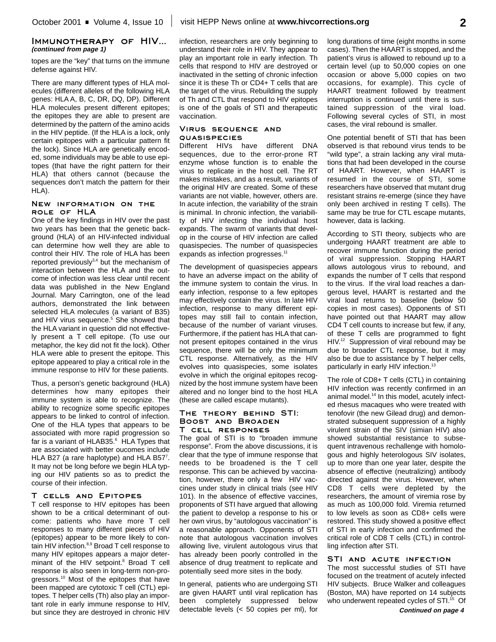# Immunotherapy of HIV... **(continued from page 1)**

topes are the "key" that turns on the immune defense against HIV.

There are many different types of HLA molecules (different alleles of the following HLA genes: HLA A, B, C, DR, DQ, DP). Different HLA molecules present different epitopes; the epitopes they are able to present are determined by the pattern of the amino acids in the HIV peptide. (If the HLA is a lock, only certain epitopes with a particular pattern fit the lock). Since HLA are genetically encoded, some individuals may be able to use epitopes (that have the right pattern for their HLA) that others cannot (because the sequences don't match the pattern for their HLA).

# New information on the role of HLA

One of the key findings in HIV over the past two years has been that the genetic background (HLA) of an HIV-infected individual can determine how well they are able to control their HIV. The role of HLA has been reported previously $3,4$  but the mechanism of interaction between the HLA and the outcome of infection was less clear until recent data was published in the New England Journal. Mary Carrington, one of the lead authors, demonstrated the link between selected HLA molecules (a variant of B35) and HIV virus sequence.<sup>5</sup> She showed that the HLA variant in question did not effectively present a T cell epitope. (To use our metaphor, the key did not fit the lock). Other HLA were able to present the epitope. This epitope appeared to play a critical role in the immune response to HIV for these patients.

Thus, a person's genetic background (HLA) determines how many epitopes their immune system is able to recognize. The ability to recognize some specific epitopes appears to be linked to control of infection. One of the HLA types that appears to be associated with more rapid progression so far is a variant of HLAB35.<sup>6</sup> HLA Types that are associated with better oucomes include HLA B27 (a rare haplotype) and HLA B57<sup>7</sup>. It may not be long before we begin HLA typing our HIV patients so as to predict the course of their infection.

# T cells and Epitopes

T cell response to HIV epitopes has been shown to be a critical determinant of outcome: patients who have more T cell responses to many different pieces of HIV (epitopes) appear to be more likely to contain HIV infection.<sup>8,9</sup> Broad T cell response to many HIV epitopes appears a major determinant of the HIV setpoint.<sup>8</sup> Broad T cell response is also seen in long-term non-progressors.<sup>10</sup> Most of the epitopes that have been mapped are cytotoxic T cell (CTL) epitopes. T helper cells (Th) also play an important role in early immune response to HIV, but since they are destroyed in chronic HIV

infection, researchers are only beginning to understand their role in HIV. They appear to play an important role in early infection. Th cells that respond to HIV are destroyed or inactivated in the setting of chronic infection since it is these Th or CD4+ T cells that are the target of the virus. Rebuilding the supply of Th and CTL that respond to HIV epitopes is one of the goals of STI and therapeutic vaccination.

# Virus sequence and **QUASISPECIES**

Different HIVs have different DNA sequences, due to the error-prone RT enzyme whose function is to enable the virus to replicate in the host cell. The RT makes mistakes, and as a result, variants of the original HIV are created. Some of these variants are not viable, however, others are. In acute infection, the variability of the strain is minimal. In chronic infection, the variability of HIV infecting the individual host expands. The swarm of variants that develop in the course of HIV infection are called quasispecies. The number of quasispecies expands as infection progresses.<sup>11</sup>

The development of quasispecies appears to have an adverse impact on the ability of the immune system to contain the virus. In early infection, response to a few epitopes may effectively contain the virus. In late HIV infection, response to many different epitopes may still fail to contain infection, because of the number of variant viruses. Furthermore, if the patient has HLA that cannot present epitopes contained in the virus sequence, there will be only the minimum CTL response. Alternatively, as the HIV evolves into quasispecies, some isolates evolve in which the original epitopes recognized by the host immune system have been altered and no longer bind to the host HLA (these are called escape mutants).

### The theory behind STI: Boost and Broaden T cell responses

The goal of STI is to "broaden immune response". From the above discussions, it is clear that the type of immune response that needs to be broadened is the T cell response. This can be achieved by vaccination, however, there only a few HIV vaccines under study in clinical trials (see HIV 101). In the absence of effective vaccines, proponents of STI have argued that allowing the patient to develop a response to his or her own virus, by "autologous vaccination" is a reasonable approach. Opponents of STI note that autologous vaccination involves allowing live, virulent autologous virus that has already been poorly controlled in the absence of drug treatment to replicate and potentially seed more sites in the body.

In general, patients who are undergoing STI are given HAART until viral replication has been completely suppressed below detectable levels (< 50 copies per ml), for long durations of time (eight months in some cases). Then the HAART is stopped, and the patient's virus is allowed to rebound up to a certain level (up to 50,000 copies on one occasion or above 5,000 copies on two occasions, for example). This cycle of HAART treatment followed by treatment interruption is continued until there is sustained suppression of the viral load. Following several cycles of STI, in most cases, the viral rebound is smaller.

One potential benefit of STI that has been observed is that rebound virus tends to be "wild type", a strain lacking any viral mutations that had been developed in the course of HAART. However, when HAART is resumed in the course of STI, some researchers have observed that mutant drug resistant strains re-emerge (since they have only been archived in resting T cells). The same may be true for CTL escape mutants, however, data is lacking.

According to STI theory, subjects who are undergoing HAART treatment are able to recover immune function during the period of viral suppression. Stopping HAART allows autologous virus to rebound, and expands the number of T cells that respond to the virus. If the viral load reaches a dangerous level, HAART is restarted and the viral load returns to baseline (below 50 copies in most cases). Opponents of STI have pointed out that HAART may allow CD4 T cell counts to increase but few, if any, of these T cells are programmed to fight HIV.<sup>12</sup> Suppression of viral rebound may be due to broader CTL response, but it may also be due to assistance by T helper cells, particularly in early HIV infection.<sup>13</sup>

The role of CD8+ T cells (CTL) in containing HIV infection was recently confirmed in an animal model.14 In this model, acutely infected rhesus macaques who were treated with tenofovir (the new Gilead drug) and demonstrated subsequent suppression of a highly virulent strain of the SIV (simian HIV) also showed substantial resistance to subsequent intravenous rechallenge with homologous and highly heterologous SIV isolates, up to more than one year later, despite the absence of effective (neutralizing) antibody directed against the virus. However, when CD8 T cells were depleted by the researchers, the amount of viremia rose by as much as 100,000 fold. Viremia returned to low levels as soon as CD8+ cells were restored. This study showed a positive effect of STI in early infection and confirmed the critical role of CD8 T cells (CTL) in controlling infection after STI.

# STI AND ACUTE INFECTION

The most successful studies of STI have focused on the treatment of acutely infected HIV subjects. Bruce Walker and colleagues (Boston, MA) have reported on 14 subjects who underwent repeated cycles of STI.<sup>15</sup> Of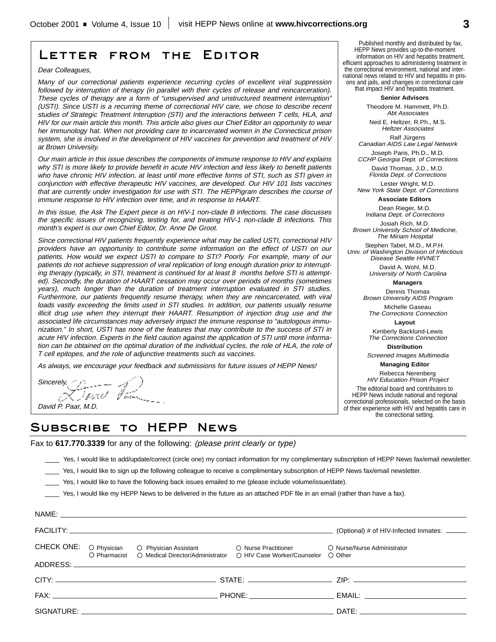# Letter from the Editor

Dear Colleagues,

Many of our correctional patients experience recurring cycles of excellent viral suppression followed by interruption of therapy (in parallel with their cycles of release and reincarceration). These cycles of therapy are <sup>a</sup> form of "unsupervised and unstructured treatment interruption" (USTI). Since USTI is <sup>a</sup> recurring theme of correctional HIV care, we chose to describe recent studies of Strategic Treatment Interuption (STI) and the interactions between T cells, HLA, and HIV for our main article this month. This article also gives our Chief Editor an opportunity to wear her immunology hat. When not providing care to incarcerated women in the Connecticut prison system, she is involved in the development of HIV vaccines for prevention and treatment of HIV at Brown University.

Our main article in this issue describes the components of immune response to HIV and explains why STI is more likely to provide benefit in acute HIV infection and less likely to benefit patients who have chronic HIV infection, at least until more effective forms of STI, such as STI given in conjunction with effective therapeutic HIV vaccines, are developed. Our HIV 101 lists vaccines that are currently under investigation for use with STI. The HEPPigram describes the course of immune response to HIV infection over time, and in response to HAART.

In this issue, the Ask The Expert piece is on HIV-1 non-clade B infections. The case discusses the specific issues of recognizing, testing for, and treating HIV-1 non-clade B infections. This month's expert is our own Chief Editor, Dr. Anne De Groot.

Since correctional HIV patients frequently experience what may be called USTI, correctional HIV providers have an opportunity to contribute some information on the effect of USTI on our patients. How would we expect USTI to compare to STI? Poorly. For example, many of our patients do not achieve suppression of viral replication of long enough duration prior to interrupting therapy (typically, in STI, treatment is continued for at least 8 months before STI is attempted). Secondly, the duration of HAART cessation may occur over periods of months (sometimes years), much longer than the duration of treatment interruption evaluated in STI studies. Furthermore, our patients frequently resume therapy, when they are reincarcerated, with viral loads vastly exceeding the limits used in STI studies. In addition, our patients usually resume illicit drug use when they interrupt their HAART. Resumption of injection drug use and the associated life circumstances may adversely impact the immune response to "autologous immunization." In short, USTI has none of the features that may contribute to the success of STI in acute HIV infection. Experts in the field caution against the application of STI until more information can be obtained on the optimal duration of the individual cycles, the role of HLA, the role of T cell epitopes, and the role of adjunctive treatments such as vaccines.

As always, we encourage your feedback and submissions for future issues of HEPP News!

 $S$ *incerely,*  $B_{i}$  *,*  $B_{i}$  *,*  $B_{i}$  *,*  $B_{i}$  *,*  $B_{i}$  *,*  $B_{i}$  *,*  $B_{i}$ David P. Paar, M.D.

# Subscribe to HEPP News

Fax to **617.770.3339** for any of the following: (please print clearly or type)

\_\_\_\_ Yes, I would like to add/update/correct (circle one) my contact information for my complimentary subscription of HEPP News fax/email newsletter.

\_\_\_\_ Yes, I would like to sign up the following colleague to receive a complimentary subscription of HEPP News fax/email newsletter.

\_\_\_\_ Yes, I would like to have the following back issues emailed to me (please include volume/issue/date).

\_\_\_\_ Yes, I would like my HEPP News to be delivered in the future as an attached PDF file in an email (rather than have a fax).

|  |                                                                                                                                                                                                                                | (Optional) # of HIV-Infected Inmates: ______                                                                                                                                                                                   |  |
|--|--------------------------------------------------------------------------------------------------------------------------------------------------------------------------------------------------------------------------------|--------------------------------------------------------------------------------------------------------------------------------------------------------------------------------------------------------------------------------|--|
|  | CHECK ONE: O Physician O Physician Assistant O Nurse Practitioner O Nurse/Nurse Administrator<br>O Pharmacist O Medical Director/Administrator O HIV Case Worker/Counselor O Other                                             |                                                                                                                                                                                                                                |  |
|  |                                                                                                                                                                                                                                |                                                                                                                                                                                                                                |  |
|  |                                                                                                                                                                                                                                |                                                                                                                                                                                                                                |  |
|  |                                                                                                                                                                                                                                |                                                                                                                                                                                                                                |  |
|  | SIGNATURE: A CONSEQUENCE OF THE CONSENSUS OF THE CONSENSUS OF THE CONSENSUS OF THE CONSENSUS OF THE CONSENSUS OF THE CONSENSUS OF THE CONSENSUS OF THE CONSENSUS OF THE CONSENSUS OF THE CONSENSUS OF THE CONSENSUS OF THE CON | DATE: the contract of the contract of the contract of the contract of the contract of the contract of the contract of the contract of the contract of the contract of the contract of the contract of the contract of the cont |  |
|  |                                                                                                                                                                                                                                |                                                                                                                                                                                                                                |  |

Published monthly and distributed by fax, HEPP News provides up-to-the-moment information on HIV and hepatitis treatment, efficient approaches to administering treatment in the correctional environment, national and international news related to HIV and hepatitis in prisons and jails, and changes in correctional care that impact HIV and hepatitis treatment.

**Senior Advisors**

Theodore M. Hammett, Ph.D. Abt Associates

Ned E. Heltzer, R.Ph., M.S. Heltzer Associates Ralf Jürgens

Canadian AIDS Law Legal Network Joseph Paris, Ph.D., M.D.

CCHP Georgia Dept. of Corrections David Thomas, J.D., M.D.

Florida Dept. of Corrections Lester Wright, M.D.

New York State Dept. of Corrections **Associate Editors**

Dean Rieger, M.D.

Indiana Dept. of Corrections Josiah Rich, M.D.

Brown University School of Medicine, The Miriam Hospital

Stephen Tabet, M.D., M.P.H. Univ. of Washington Division of Infectious Disease Seattle HIVNET

David A. Wohl, M.D. University of North Carolina

**Managers**

Dennis Thomas Brown University AIDS Program

Michelle Gaseau The Corrections Connection

**Layout**

Kimberly Backlund-Lewis The Corrections Connection

**Distribution**

Screened Images Multimedia **Managing Editor**

Rebecca Nerenberg HIV Education Prison Project The editorial board and contributors to HEPP News include national and regional correctional professionals, selected on the basis of their experience with HIV and hepatitis care in the correctional setting.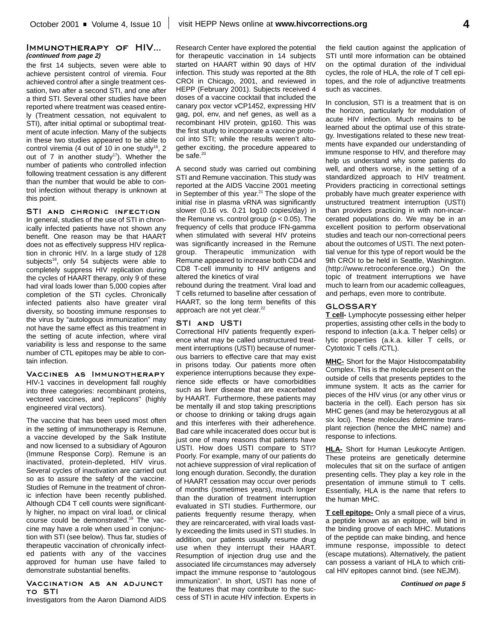# Immunotherapy of HIV... **(continued from page 2)**

the first 14 subjects, seven were able to achieve persistent control of viremia. Four achieved control after a single treatment cessation, two after a second STI, and one after a third STI. Several other studies have been reported where treatment was ceased entirely (Treatment cessation, not equivalent to STI), after initial optimal or suboptimal treatment of acute infection. Many of the subjects in these two studies appeared to be able to control viremia (4 out of 10 in one study<sup>16</sup>, 2 out of  $7$  in another study<sup>17</sup>). Whether the number of patients who controlled infection following treatment cessation is any different than the number that would be able to control infection without therapy is unknown at this point.

# STI AND CHRONIC INFECTION

In general, studies of the use of STI in chronically infected patients have not shown any benefit. One reason may be that HAART does not as effectively suppress HIV replication in chronic HIV. In a large study of 128 subjects<sup>18</sup>, only 54 subjects were able to completely suppress HIV replication during the cycles of HAART therapy, only 9 of these had viral loads lower than 5,000 copies after completion of the STI cycles. Chronically infected patients also have greater viral diversity, so boosting immune responses to the virus by "autologous immunization" may not have the same effect as this treatment in the setting of acute infection, where viral variability is less and response to the same number of CTL epitopes may be able to contain infection.

Vaccines as Immunotherapy HIV-1 vaccines in development fall roughly into three categories: recombinant proteins, vectored vaccines, and "replicons" (highly engineered viral vectors).

The vaccine that has been used most often in the setting of immunotherapy is Remune, a vaccine developed by the Salk Institute and now licensed to a subsidiary of Agouron (Immune Response Corp). Remune is an inactivated, protein-depleted, HIV virus. Several cycles of inactivation are carried out so as to assure the safety of the vaccine. Studies of Remune in the treatment of chronic infection have been recently published. Although CD4 T cell counts were significantly higher, no impact on viral load, or clinical course could be demonstrated.19 The vaccine may have a role when used in conjunction with STI (see below). Thus far, studies of therapeutic vaccination of chronically infected patients with any of the vaccines approved for human use have failed to demonstrate substantial benefits.

#### Vaccination as an adjunct to STI

Investigators from the Aaron Diamond AIDS

Research Center have explored the potential for therapeutic vaccination in 14 subjects started on HAART within 90 days of HIV infection. This study was reported at the 8th CROI in Chicago, 2001, and reviewed in HEPP (February 2001). Subjects received 4 doses of a vaccine cocktail that included the canary pox vector vCP1452, expressing HIV gag, pol, env, and nef genes, as well as a recombinant HIV protein, gp160. This was the first study to incorporate a vaccine protocol into STI; while the results weren't altogether exciting, the procedure appeared to be safe.<sup>20</sup>

A second study was carried out combining STI and Remune vaccination. This study was reported at the AIDS Vaccine 2001 meeting in September of this year.<sup>21</sup> The slope of the initial rise in plasma vRNA was significantly slower (0.16 vs. 0.21 log10 copies/day) in the Remune vs. control group ( $p < 0.05$ ). The frequency of cells that produce IFN-gamma when stimulated with several HIV proteins was significantly increased in the Remune group. Therapeutic immunization with Remune appeared to increase both CD4 and CD8 T-cell immunity to HIV antigens and altered the kinetics of viral

rebound during the treatment. Viral load and T cells returned to baseline after cessation of HAART, so the long term benefits of this approach are not yet clear.<sup>22</sup>

#### STI and USTI

Correctional HIV patients frequently experience what may be called unstructured treatment interruptions (USTI) because of numerous barriers to effective care that may exist in prisons today. Our patients more often experience interruptions because they experience side effects or have comorbidities such as liver disease that are exacerbated by HAART. Furthermore, these patients may be mentally ill and stop taking prescriptions or choose to drinking or taking drugs again and this interferes with their adherehence. Bad care while incacerated does occur but is just one of many reasons that patients have USTI. How does USTI compare to STI? Poorly. For example, many of our patients do not achieve suppression of viral replication of long enough duration. Secondly, the duration of HAART cessation may occur over periods of months (sometimes years), much longer than the duration of treatment interruption evaluated in STI studies. Furthermore, our patients frequently resume therapy, when they are reincarcerated, with viral loads vastly exceeding the limits used in STI studies. In addition, our patients usually resume drug use when they interrupt their HAART. Resumption of injection drug use and the associated life circumstances may adversely impact the immune response to "autologous immunization". In short, USTI has none of the features that may contribute to the success of STI in acute HIV infection. Experts in

the field caution against the application of STI until more information can be obtained on the optimal duration of the individual cycles, the role of HLA, the role of T cell epitopes, and the role of adjunctive treatments such as vaccines.

In conclusion, STI is a treatment that is on the horizon, particularly for modulation of acute HIV infection. Much remains to be learned about the optimal use of this strategy. Investigations related to these new treatments have expanded our understanding of immune response to HIV, and therefore may help us understand why some patients do well, and others worse, in the setting of a standardized approach to HIV treatment. Providers practicing in correctional settings probably have much greater experience with unstructured treatment interruption (USTI) than providers practicing in with non-incarcerated populations do. We may be in an excellent position to perform observational studies and teach our non-correctional peers about the outcomes of USTI. The next potential venue for this type of report would be the 9th CROI to be held in Seattle, Washington. (http://www.retroconference.org.) On the topic of treatment interruptions we have much to learn from our academic colleagues, and perhaps, even more to contribute.

# GLOSSARY

**T cell-** Lymphocyte possessing either helper properties, assisting other cells in the body to respond to infection (a.k.a. T helper cells) or lytic properties (a.k.a. killer T cells, or Cytotoxic T cells /CTL).

**MHC-** Short for the Major Histocompatability Complex. This is the molecule present on the outside of cells that presents peptides to the immune system. It acts as the carrier for pieces of the HIV virus (or any other virus or bacteria in the cell). Each person has six MHC genes (and may be heterozygous at all six loci). These molecules determine transplant rejection (hence the MHC name) and response to infections.

**HLA-** Short for Human Leukocyte Antigen. These proteins are genetically determine molecules that sit on the surface of antigen presenting cells. They play a key role in the presentation of immune stimuli to T cells. Essentially, HLA is the name that refers to the human MHC.

**T cell epitope-** Only a small piece of a virus, a peptide known as an epitope, will bind in the binding groove of each MHC. Mutations of the peptide can make binding, and hence immune response, impossible to detect (escape mutations). Alternatively, the patient can possess a variant of HLA to which critical HIV epitopes cannot bind. (see NEJM).

**Continued on page 5**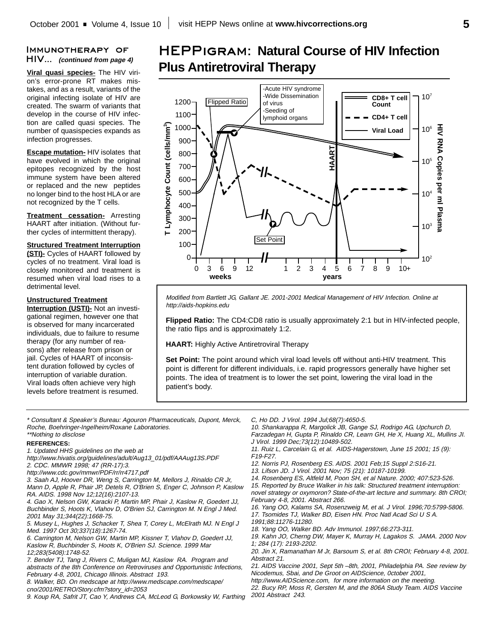# Immunotherapy of HIV... **(continued from page 4)**

**Viral quasi species-** The HIV virion's error-prone RT makes mistakes, and as a result, variants of the original infecting isolate of HIV are created. The swarm of variants that develop in the course of HIV infection are called quasi species. The number of quasispecies expands as infection progresses.

**Escape mutation-** HIV isolates that have evolved in which the original epitopes recognized by the host immune system have been altered or replaced and the new peptides no longer bind to the host HLA or are not recognized by the T cells.

**Treatment cessation-** Arresting HAART after initiation. (Without further cycles of intermittent therapy).

# **Structured Treatment Interruption**

**(STI)-** Cycles of HAART followed by cycles of no treatment. Viral load is closely monitored and treatment is resumed when viral load rises to a detrimental level.

# **Unstructured Treatment**

**Interruption (USTI)-** Not an investigational regimen, however one that is observed for many incarcerated individuals, due to failure to resume therapy (for any number of reasons) after release from prison or jail. Cycles of HAART of inconsistent duration followed by cycles of interruption of variable duration. Viral loads often achieve very high levels before treatment is resumed.

# HEPPigram: **Natural Course of HIV Infection Plus Antiretroviral Therapy**



Modified from Bartlett JG, Gallant JE. 2001-2001 Medical Management of HIV Infection. Online at http://aids-hopkins.edu

**Flipped Ratio:** The CD4:CD8 ratio is usually approximately 2:1 but in HIV-infected people, the ratio flips and is approximately 1:2.

**HAART:** Highly Active Antiretroviral Therapy

**Set Point:** The point around which viral load levels off without anti-HIV treatment. This point is different for different individuals, i.e. rapid progressors generally have higher set points. The idea of treatment is to lower the set point, lowering the viral load in the patient's body.

\* Consultant & Speaker's Bureau: Agouron Pharmaceuticals, Dupont, Merck, Roche, Boehringer-Ingelheim/Roxane Laboratories. \*\*Nothing to disclose

#### **REFERENCES:**

- 1. Updated HHS guidelines on the web at
- http://www.hivatis.org/guidelines/adult/Aug13\_01/pdf/AAAug13S.PDF 2. CDC. MMWR 1998; 47 (RR-17):3.
- http://www.cdc.gov/mmwr/PDF/rr/rr4717.pdf
- 3. Saah AJ, Hoover DR, Weng S, Carrington M, Mellors J, Rinaldo CR Jr, Mann D, Apple R, Phair JP, Detels R, O'Brien S, Enger C, Johnson P, Kaslow RA. AIDS. 1998 Nov 12;12(16):2107-13.

4. Gao X, Nelson GW, Karacki P, Martin MP, Phair J, Kaslow R, Goedert JJ, Buchbinder S, Hoots K, Vlahov D, O'Brien SJ, Carrington M. N Engl J Med. 2001 May 31;344(22):1668-75.

5. Musey L, Hughes J, Schacker T, Shea T, Corey L, McElrath MJ. N Engl J Med. 1997 Oct 30;337(18):1267-74.

6. Carrington M, Nelson GW, Martin MP, Kissner T, Vlahov D, Goedert JJ, Kaslow R, Buchbinder S, Hoots K, O'Brien SJ. Science. 1999 Mar 12;283(5408):1748-52.

- 7. Bender TJ, Tang J, Rivers C, Muligan MJ, Kaslow RA. Program and abstracts of the 8th Conference on Retroviruses and Opportunistic Infections, February 4-8, 2001, Chicago Illinois. Abstract 193.
- 8. Walker, BD. On medscape at http://www.medscape.com/medscape/ cno/2001/RETRO/Story.cfm?story\_id=2053

9. Koup RA, Safrit JT, Cao Y, Andrews CA, McLeod G, Borkowsky W, Farthing

C, Ho DD. J Virol. 1994 Jul;68(7):4650-5.

10. Shankarappa R, Margolick JB, Gange SJ, Rodrigo AG, Upchurch D, Farzadegan H, Gupta P, Rinaldo CR, Learn GH, He X, Huang XL, Mullins JI. J Virol. 1999 Dec;73(12):10489-502.

- 11. Ruiz L, Carcelain G, et al. AIDS-Hagerstown, June 15 2001; 15 (9): F19-F27.
- 12. Norris PJ, Rosenberg ES. AIDS. 2001 Feb;15 Suppl 2:S16-21.
- 13. Lifson JD. J Virol. 2001 Nov; 75 (21): 10187-10199.
- 14. Rosenberg ES, Altfeld M, Poon SH, et al Nature. 2000; 407:523-526.

15. Reported by Bruce Walker in his talk: Structured treatment interruption: novel strategy or oxymoron? State-of-the-art lecture and summary. 8th CROI; February 4-8, 2001. Abstract 266.

16. Yang OO, Kalams SA, Rosenzweig M, et al. J Virol. 1996;70:5799-5806. 17. Tsomides TJ, Walker BD, Eisen HN. Proc Natl Acad Sci U S A.

1991;88:11276-11280.

18. Yang OO, Walker BD. Adv Immunol. 1997;66:273-311.

19. Kahn JO, Cherng DW, Mayer K, Murray H, Lagakos S. JAMA. 2000 Nov 1; 284 (17): 2193-2202.

20. Jin X, Ramanathan M Jr, Barsoum S, et al. 8th CROI; February 4-8, 2001. Abstract 21.

21. AIDS Vaccine 2001, Sept 5th –8th, 2001, Philadelphia PA. See review by Nicodemus, Sbai, and De Groot on AIDScience, 0ctober 2001,

http://www.AIDScience.com, for more information on the meeting.

22. Bucy RP, Moss R, Gersten M, and the 806A Study Team. AIDS Vaccine 2001 Abstract 243.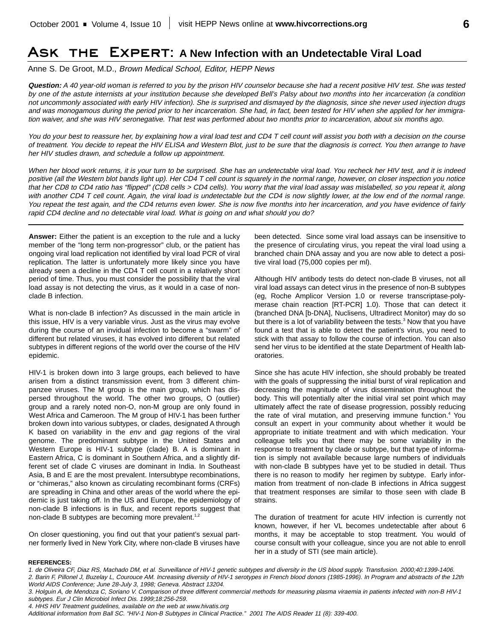# Ask the Expert: **A New Infection with an Undetectable Viral Load**

Anne S. De Groot, M.D., Brown Medical School, Editor, HEPP News

**Question:** A 40 year-old woman is referred to you by the prison HIV counselor because she had <sup>a</sup> recent positive HIV test. She was tested by one of the astute internists at your institution because she developed Bell's Palsy about two months into her incarceration (a condition not uncommonly associated with early HIV infection). She is surprised and dismayed by the diagnosis, since she never used injection drugs and was monogamous during the period prior to her incarceration. She had, in fact, been tested for HIV when she applied for her immigration waiver, and she was HIV seronegative. That test was performed about two months prior to incarceration, about six months ago.

You do your best to reassure her, by explaining how a viral load test and CD4 T cell count will assist you both with a decision on the course of treatment. You decide to repeat the HIV ELISA and Western Blot, just to be sure that the diagnosis is correct. You then arrange to have her HIV studies drawn, and schedule <sup>a</sup> follow up appointment.

When her blood work returns, it is your turn to be surprised. She has an undetectable viral load. You recheck her HIV test, and it is indeed positive (all the Western blot bands light up). Her CD4 T cell count is squarely in the normal range, however, on closer inspection you notice that her CD8 to CD4 ratio has "flipped" (CD8 cells <sup>&</sup>gt; CD4 cells). You worry that the viral load assay was mislabelled, so you repeat it, along with another CD4 T cell count. Again, the viral load is undetectable but the CD4 is now slightly lower, at the low end of the normal range. You repeat the test again, and the CD4 returns even lower. She is now five months into her incarceration, and you have evidence of fairly rapid CD4 decline and no detectable viral load. What is going on and what should you do?

**Answer:** Either the patient is an exception to the rule and a lucky member of the "long term non-progressor" club, or the patient has ongoing viral load replication not identified by viral load PCR of viral replication. The latter is unfortunately more likely since you have already seen a decline in the CD4 T cell count in a relatively short period of time. Thus, you must consider the possibility that the viral load assay is not detecting the virus, as it would in a case of nonclade B infection.

What is non-clade B infection? As discussed in the main article in this issue, HIV is a very variable virus. Just as the virus may evolve during the course of an invidual infection to become a "swarm" of different but related viruses, it has evolved into different but related subtypes in different regions of the world over the course of the HIV epidemic.

HIV-1 is broken down into 3 large groups, each believed to have arisen from a distinct transmission event, from 3 different chimpanzee viruses. The M group is the main group, which has dispersed throughout the world. The other two groups, O (outlier) group and a rarely noted non-O, non-M group are only found in West Africa and Cameroon. The M group of HIV-1 has been further broken down into various subtypes, or clades, designated A through K based on variability in the env and gag regions of the viral genome. The predominant subtype in the United States and Western Europe is HIV-1 subtype (clade) B. A is dominant in Eastern Africa, C is dominant in Southern Africa, and a slightly different set of clade C viruses are dominant in India. In Southeast Asia, B and E are the most prevalent. Intersubtype recombinations, or "chimeras," also known as circulating recombinant forms (CRFs) are spreading in China and other areas of the world where the epidemic is just taking off. In the US and Europe, the epidemiology of non-clade B infections is in flux, and recent reports suggest that non-clade B subtypes are becoming more prevalent.<sup>1,2</sup>

On closer questioning, you find out that your patient's sexual partner formerly lived in New York City, where non-clade B viruses have been detected. Since some viral load assays can be insensitive to the presence of circulating virus, you repeat the viral load using a branched chain DNA assay and you are now able to detect a positive viral load (75,000 copies per ml).

Although HIV antibody tests do detect non-clade B viruses, not all viral load assays can detect virus in the presence of non-B subtypes (eg, Roche Amplicor Version 1.0 or reverse transcriptase-polymerase chain reaction [RT-PCR] 1.0). Those that can detect it (branched DNA [b-DNA], Nuclisens, Ultradirect Monitor) may do so but there is a lot of variability between the tests.<sup>3</sup> Now that you have found a test that is able to detect the patient's virus, you need to stick with that assay to follow the course of infection. You can also send her virus to be identified at the state Department of Health laboratories.

Since she has acute HIV infection, she should probably be treated with the goals of suppressing the initial burst of viral replication and decreasing the magnitude of virus dissemination throughout the body. This will potentially alter the initial viral set point which may ultimately affect the rate of disease progression, possibly reducing the rate of viral mutation, and preserving immune function.<sup>4</sup> You consult an expert in your community about whether it would be appropriate to initiate treatment and with which medication. Your colleague tells you that there may be some variability in the response to treatment by clade or subtype, but that type of information is simply not available because large numbers of individuals with non-clade B subtypes have yet to be studied in detail. Thus there is no reason to modify her regimen by subtype. Early information from treatment of non-clade B infections in Africa suggest that treatment responses are similar to those seen with clade B strains.

The duration of treatment for acute HIV infection is currently not known, however, if her VL becomes undetectable after about 6 months, it may be acceptable to stop treatment. You would of course consult with your colleague, since you are not able to enroll her in a study of STI (see main article).

#### **REFERENCES:**

4. HHS HIV Treatment guidelines, available on the web at www.hivatis.org

<sup>1.</sup> de Oliveira CF, Diaz RS, Machado DM, et al. Surveillance of HIV-1 genetic subtypes and diversity in the US blood supply. Transfusion. 2000;40:1399-1406. 2. Barin F, Pillonel J, Buzelay L, Courouce AM. Increasing diversity of HIV-1 serotypes in French blood donors (1985-1996). In Program and abstracts of the 12th

World AIDS Conference; June 28-July 3, 1998; Geneva. Abstract 13204.

<sup>3.</sup> Holguin A, de Mendoza C, Soriano V. Comparison of three different commercial methods for measuring plasma viraemia in patients infected with non-B HIV-1 subtypes. Eur J Clin Microbiol Infect Dis. 1999;18:256-259.

Additional information from Ball SC. "HIV-1 Non-B Subtypes in Clinical Practice." 2001 The AIDS Reader 11 (8): 339-400.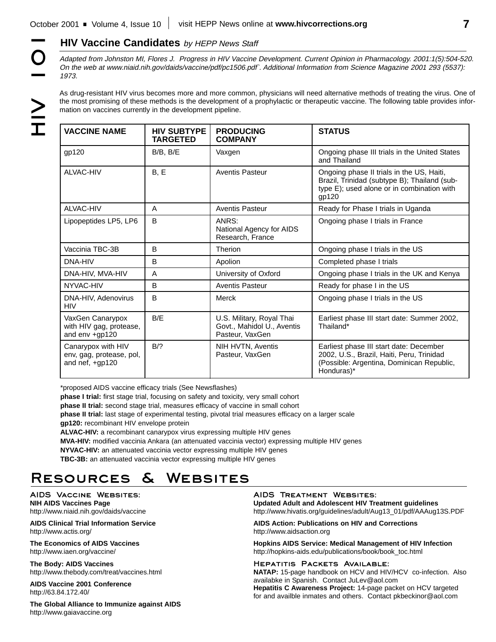**HIV Vaccine Candidates** by HEPP News Staff<br>
Adapted from Johnston MI, Flores J. Progress in HIV Vaccine<br>
On the web at www.niaid.nih.gov/daids/vaccine/pdf/pc1506.pdf<br>
1973.<br>
As drug-resistant HIV virus becomes more and mo Adapted from Johnston MI, Flores J. Progress in HIV Vaccine Development. Current Opinion in Pharmacology. 2001:1(5):504-520. On the web at www.niaid.nih.gov/daids/vaccine/pdf/pc1506.pdf`. Additional Information from Science Magazine 2001 293 (5537): 1973.

As drug-resistant HIV virus becomes more and more common, physicians will need alternative methods of treating the virus. One of the most promising of these methods is the development of a prophylactic or therapeutic vaccine. The following table provides information on vaccines currently in the development pipeline.

| <b>VACCINE NAME</b>                                                 | <b>HIV SUBTYPE</b><br><b>TARGETED</b> | <b>PRODUCING</b><br><b>COMPANY</b>                                         | <b>STATUS</b>                                                                                                                                    |
|---------------------------------------------------------------------|---------------------------------------|----------------------------------------------------------------------------|--------------------------------------------------------------------------------------------------------------------------------------------------|
| qp120                                                               | $B/B$ , $B/E$                         | Vaxgen                                                                     | Ongoing phase III trials in the United States<br>and Thailand                                                                                    |
| ALVAC-HIV                                                           | B, E                                  | <b>Aventis Pasteur</b>                                                     | Ongoing phase II trials in the US, Haiti,<br>Brazil, Trinidad (subtype B); Thailand (sub-<br>type E); used alone or in combination with<br>gp120 |
| ALVAC-HIV                                                           | A                                     | <b>Aventis Pasteur</b>                                                     | Ready for Phase I trials in Uganda                                                                                                               |
| Lipopeptides LP5, LP6                                               | B                                     | ANRS:<br>National Agency for AIDS<br>Research, France                      | Ongoing phase I trials in France                                                                                                                 |
| Vaccinia TBC-3B                                                     | B                                     | Therion                                                                    | Ongoing phase I trials in the US                                                                                                                 |
| DNA-HIV                                                             | B                                     | Apolion                                                                    | Completed phase I trials                                                                                                                         |
| DNA-HIV, MVA-HIV                                                    | A                                     | University of Oxford                                                       | Ongoing phase I trials in the UK and Kenya                                                                                                       |
| NYVAC-HIV                                                           | B                                     | <b>Aventis Pasteur</b>                                                     | Ready for phase I in the US                                                                                                                      |
| DNA-HIV, Adenovirus<br><b>HIV</b>                                   | B                                     | Merck                                                                      | Ongoing phase I trials in the US                                                                                                                 |
| VaxGen Canarypox<br>with HIV gag, protease,<br>and env +qp120       | B/E                                   | U.S. Military, Royal Thai<br>Govt., Mahidol U., Aventis<br>Pasteur, VaxGen | Earliest phase III start date: Summer 2002,<br>Thailand*                                                                                         |
| Canarypox with HIV<br>env, gag, protease, pol,<br>and nef, $+gp120$ | B/2                                   | NIH HVTN, Aventis<br>Pasteur, VaxGen                                       | Earliest phase III start date: December<br>2002, U.S., Brazil, Haiti, Peru, Trinidad<br>(Possible: Argentina, Dominican Republic,<br>Honduras)*  |

\*proposed AIDS vaccine efficacy trials (See Newsflashes)

**phase I trial:** first stage trial, focusing on safety and toxicity, very small cohort

**phase II trial:** second stage trial, measures efficacy of vaccine in small cohort

**phase II trial:** last stage of experimental testing, pivotal trial measures efficacy on a larger scale **gp120:** recombinant HIV envelope protein

**ALVAC-HIV:** a recombinant canarypox virus expressing multiple HIV genes

**MVA-HIV:** modified vaccinia Ankara (an attenuated vaccinia vector) expressing multiple HIV genes

**NYVAC-HIV:** an attenuated vaccinia vector expressing multiple HIV genes

**TBC-3B:** an attenuated vaccinia vector expressing multiple HIV genes

# Resources & Websites

AIDS Vaccine Websites: **NIH AIDS Vaccines Page**

http://www.niaid.nih.gov/daids/vaccine **AIDS Clinical Trial Information Service**

http://www.actis.org/

**The Economics of AIDS Vaccines** http://www.iaen.org/vaccine/

**The Body: AIDS Vaccines** http://www.thebody.com/treat/vaccines.html

**AIDS Vaccine 2001 Conference** http://63.84.172.40/

**The Global Alliance to Immunize against AIDS** http://www.gaiavaccine.org

AIDS Treatment Websites: **Updated Adult and Adolescent HIV Treatment guidelines** http://www.hivatis.org/guidelines/adult/Aug13\_01/pdf/AAAug13S.PDF

**AIDS Action: Publications on HIV and Corrections** http://www.aidsaction.org

**Hopkins AIDS Service: Medical Management of HIV Infection** http://hopkins-aids.edu/publications/book/book\_toc.html

HEPATITIS PACKETS AVAILABLE:

**NATAP:** 15-page handbook on HCV and HIV/HCV co-infection. Also availabke in Spanish. Contact JuLev@aol.com **Hepatitis C Awareness Project:** 14-page packet on HCV targeted for and availble inmates and others. Contact pkbeckinor@aol.com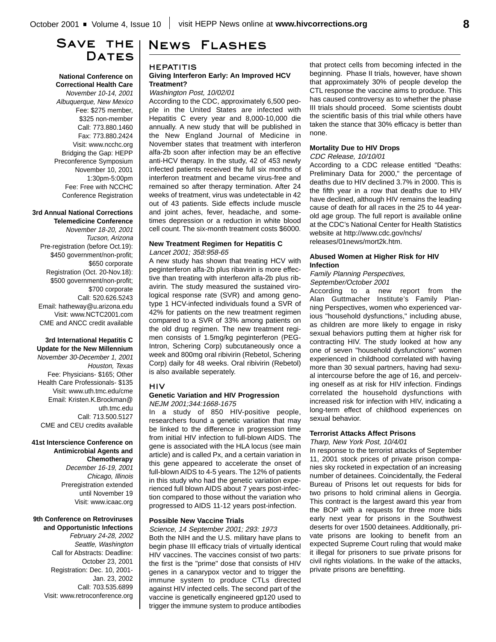# SAVE THE I **DATES**

**National Conference on Correctional Health Care** November 10-14, 2001 Albuquerque, New Mexico Fee: \$275 member, \$325 non-member Call: 773.880.1460 Fax: 773.880.2424 Visit: www.ncchc.org Bridging the Gap: HEPP Preconference Symposium November 10, 2001 1:30pm-5:00pm Fee: Free with NCCHC Conference Registration

#### **3rd Annual National Corrections Telemedicine Conference**

November 18-20, 2001 Tucson, Arizona Pre-registration (before Oct.19): \$450 government/non-profit; \$650 corporate Registration (Oct. 20-Nov.18): \$500 government/non-profit; \$700 corporate Call: 520.626.5243 Email: hatheway@u.arizona.edu Visit: www.NCTC2001.com CME and ANCC credit available

### **3rd International Hepatitis C Update for the New Millennium**

November 30-December 1, 2001 Houston, Texas Fee: Physicians- \$165; Other Health Care Professionals- \$135 Visit: www.uth.tmc.edu/cme Email: Kristen.K.Brockman@ uth.tmc.edu Call: 713.500.5127 CME and CEU credits available

### **41st Interscience Conference on Antimicrobial Agents and Chemotherapy**

December 16-19, 2001 Chicago, Illinois Preregistration extended until November 19 Visit: www.icaac.org

# **9th Conference on Retroviruses**

**and Opportunistic Infections** February 24-28, 2002 Seattle, Washington Call for Abstracts: Deadline: October 23, 2001 Registration: Dec. 10, 2001- Jan. 23, 2002 Call: 703.535.6899 Visit: www.retroconference.org

# News Flashes

### **HEPATITIS Giving Interferon Early: An Improved HCV Treatment?**

Washington Post, 10/02/01

According to the CDC, approximately 6,500 people in the United States are infected with Hepatitis C every year and 8,000-10,000 die annually. A new study that will be published in the New England Journal of Medicine in November states that treatment with interferon alfa-2b soon after infection may be an effective anti-HCV therapy. In the study, 42 of 453 newly infected patients received the full six months of interferon treatment and became virus-free and remained so after therapy termination. After 24 weeks of treatment, virus was undetectable in 42 out of 43 patients. Side effects include muscle and joint aches, fever, headache, and sometimes depression or a reduction in white blood cell count. The six-month treatment costs \$6000.

#### **New Treatment Regimen for Hepatitis C** Lancet 2001; 358:958-65

A new study has shown that treating HCV with peginterferon alfa-2b plus ribavirin is more effective than treating with interferon alfa-2b plus ribavirin. The study measured the sustained virological response rate (SVR) and among genotype 1 HCV-infected individuals found a SVR of 42% for patients on the new treatment regimen compared to a SVR of 33% among patients on the old drug regimen. The new treatment regimen consists of 1.5mg/kg peginterferon (PEG-Intron, Schering Corp) subcutaneously once a week and 800mg oral ribivirin (Rebetol, Schering Corp) daily for 48 weeks. Oral ribivirin (Rebetol) is also available seperately.

# HIV

### **Genetic Variation and HIV Progression** NEJM 2001;344:1668-1675

In a study of 850 HIV-positive people, researchers found a genetic variation that may be linked to the difference in progression time from initial HIV infection to full-blown AIDS. The gene is associated with the HLA locus (see main article) and is called Px, and a certain variation in this gene appeared to accelerate the onset of full-blown AIDS to 4-5 years. The 12% of patients in this study who had the genetic variation experienced full blown AIDS about 7 years post-infection compared to those without the variation who progressed to AIDS 11-12 years post-infection.

# **Possible New Vaccine Trials**

Science, 14 September 2001; 293: 1973 Both the NIH and the U.S. military have plans to begin phase III efficacy trials of virtually identical HIV vaccines. The vaccines consist of two parts: the first is the "prime" dose that consists of HIV genes in a canarypox vector and to trigger the immune system to produce CTLs directed against HIV infected cells. The second part of the vaccine is genetically engineered gp120 used to trigger the immune system to produce antibodies

that protect cells from becoming infected in the beginning. Phase II trials, however, have shown that approximately 30% of people develop the CTL response the vaccine aims to produce. This has caused controversy as to whether the phase III trials should proceed. Some scientists doubt the scientific basis of this trial while others have taken the stance that 30% efficacy is better than none.

# **Mortality Due to HIV Drops**

#### CDC Release, 10/10/01

According to a CDC release entitled "Deaths: Preliminary Data for 2000," the percentage of deaths due to HIV declined 3.7% in 2000. This is the fifth year in a row that deaths due to HIV have declined, although HIV remains the leading cause of death for all races in the 25 to 44 yearold age group. The full report is available online at the CDC's National Center for Health Statistics website at http://www.cdc.gov/nchs/ releases/01news/mort2k.htm.

### **Abused Women at Higher Risk for HIV Infection**

### Family Planning Perspectives, September/October 2001

According to a new report from the Alan Guttmacher Institute's Family Planning Perspectives, women who experienced various "household dysfunctions," including abuse, as children are more likely to engage in risky sexual behaviors putting them at higher risk for contracting HIV. The study looked at how any one of seven "household dysfunctions" women experienced in childhood correlated with having more than 30 sexual partners, having had sexual intercourse before the age of 16, and perceiving oneself as at risk for HIV infection. Findings correlated the household dysfunctions with increased risk for infection with HIV, indicating a long-term effect of childhood experiences on sexual behavior.

# **Terrorist Attacks Affect Prisons**

# Tharp, New York Post, 10/4/01

In response to the terrorist attacks of September 11, 2001 stock prices of private prison companies sky rocketed in expectation of an increasing number of detainees. Coincidentally, the Federal Bureau of Prisons let out requests for bids for two prisons to hold criminal aliens in Georgia. This contract is the largest award this year from the BOP with a requests for three more bids early next year for prisons in the Southwest deserts for over 1500 detainees. Additionally, private prisons are looking to benefit from an expected Supreme Court ruling that would make it illegal for prisoners to sue private prisons for civil rights violations. In the wake of the attacks, private prisons are benefitting.